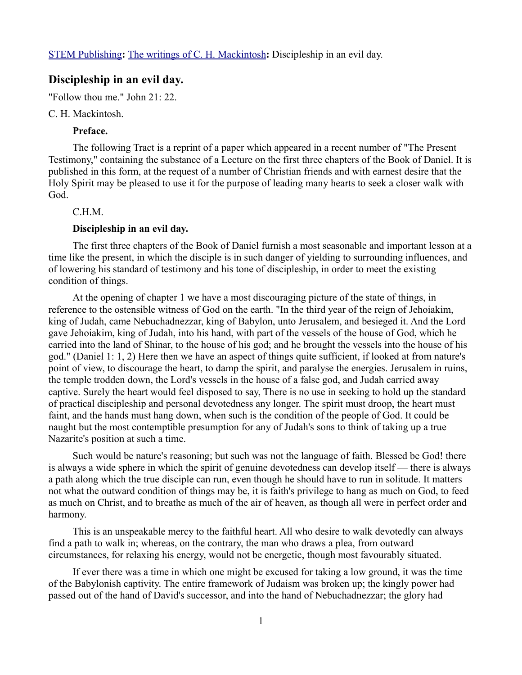# **Discipleship in an evil day.**

"Follow thou me." John 21: 22.

#### C. H. Mackintosh.

## **Preface.**

The following Tract is a reprint of a paper which appeared in a recent number of "The Present Testimony," containing the substance of a Lecture on the first three chapters of the Book of Daniel. It is published in this form, at the request of a number of Christian friends and with earnest desire that the Holy Spirit may be pleased to use it for the purpose of leading many hearts to seek a closer walk with God.

## C.H.M.

#### **Discipleship in an evil day.**

The first three chapters of the Book of Daniel furnish a most seasonable and important lesson at a time like the present, in which the disciple is in such danger of yielding to surrounding influences, and of lowering his standard of testimony and his tone of discipleship, in order to meet the existing condition of things.

At the opening of chapter 1 we have a most discouraging picture of the state of things, in reference to the ostensible witness of God on the earth. "In the third year of the reign of Jehoiakim, king of Judah, came Nebuchadnezzar, king of Babylon, unto Jerusalem, and besieged it. And the Lord gave Jehoiakim, king of Judah, into his hand, with part of the vessels of the house of God, which he carried into the land of Shinar, to the house of his god; and he brought the vessels into the house of his god." (Daniel 1: 1, 2) Here then we have an aspect of things quite sufficient, if looked at from nature's point of view, to discourage the heart, to damp the spirit, and paralyse the energies. Jerusalem in ruins, the temple trodden down, the Lord's vessels in the house of a false god, and Judah carried away captive. Surely the heart would feel disposed to say, There is no use in seeking to hold up the standard of practical discipleship and personal devotedness any longer. The spirit must droop, the heart must faint, and the hands must hang down, when such is the condition of the people of God. It could be naught but the most contemptible presumption for any of Judah's sons to think of taking up a true Nazarite's position at such a time.

Such would be nature's reasoning; but such was not the language of faith. Blessed be God! there is always a wide sphere in which the spirit of genuine devotedness can develop itself — there is always a path along which the true disciple can run, even though he should have to run in solitude. It matters not what the outward condition of things may be, it is faith's privilege to hang as much on God, to feed as much on Christ, and to breathe as much of the air of heaven, as though all were in perfect order and harmony.

This is an unspeakable mercy to the faithful heart. All who desire to walk devotedly can always find a path to walk in; whereas, on the contrary, the man who draws a plea, from outward circumstances, for relaxing his energy, would not be energetic, though most favourably situated.

If ever there was a time in which one might be excused for taking a low ground, it was the time of the Babylonish captivity. The entire framework of Judaism was broken up; the kingly power had passed out of the hand of David's successor, and into the hand of Nebuchadnezzar; the glory had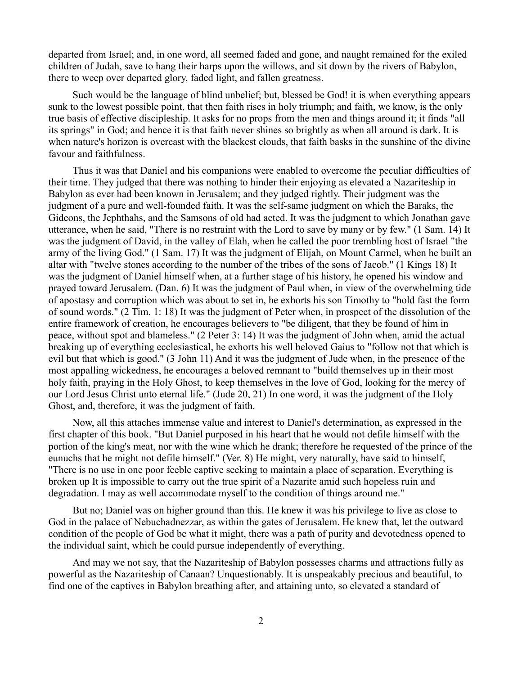departed from Israel; and, in one word, all seemed faded and gone, and naught remained for the exiled children of Judah, save to hang their harps upon the willows, and sit down by the rivers of Babylon, there to weep over departed glory, faded light, and fallen greatness.

Such would be the language of blind unbelief; but, blessed be God! it is when everything appears sunk to the lowest possible point, that then faith rises in holy triumph; and faith, we know, is the only true basis of effective discipleship. It asks for no props from the men and things around it; it finds "all its springs" in God; and hence it is that faith never shines so brightly as when all around is dark. It is when nature's horizon is overcast with the blackest clouds, that faith basks in the sunshine of the divine favour and faithfulness.

Thus it was that Daniel and his companions were enabled to overcome the peculiar difficulties of their time. They judged that there was nothing to hinder their enjoying as elevated a Nazariteship in Babylon as ever had been known in Jerusalem; and they judged rightly. Their judgment was the judgment of a pure and well-founded faith. It was the self-same judgment on which the Baraks, the Gideons, the Jephthahs, and the Samsons of old had acted. It was the judgment to which Jonathan gave utterance, when he said, "There is no restraint with the Lord to save by many or by few." (1 Sam. 14) It was the judgment of David, in the valley of Elah, when he called the poor trembling host of Israel "the army of the living God." (1 Sam. 17) It was the judgment of Elijah, on Mount Carmel, when he built an altar with "twelve stones according to the number of the tribes of the sons of Jacob." (1 Kings 18) It was the judgment of Daniel himself when, at a further stage of his history, he opened his window and prayed toward Jerusalem. (Dan. 6) It was the judgment of Paul when, in view of the overwhelming tide of apostasy and corruption which was about to set in, he exhorts his son Timothy to "hold fast the form of sound words." (2 Tim. 1: 18) It was the judgment of Peter when, in prospect of the dissolution of the entire framework of creation, he encourages believers to "be diligent, that they be found of him in peace, without spot and blameless." (2 Peter 3: 14) It was the judgment of John when, amid the actual breaking up of everything ecclesiastical, he exhorts his well beloved Gaius to "follow not that which is evil but that which is good." (3 John 11) And it was the judgment of Jude when, in the presence of the most appalling wickedness, he encourages a beloved remnant to "build themselves up in their most holy faith, praying in the Holy Ghost, to keep themselves in the love of God, looking for the mercy of our Lord Jesus Christ unto eternal life." (Jude 20, 21) In one word, it was the judgment of the Holy Ghost, and, therefore, it was the judgment of faith.

Now, all this attaches immense value and interest to Daniel's determination, as expressed in the first chapter of this book. "But Daniel purposed in his heart that he would not defile himself with the portion of the king's meat, nor with the wine which he drank; therefore he requested of the prince of the eunuchs that he might not defile himself." (Ver. 8) He might, very naturally, have said to himself, "There is no use in one poor feeble captive seeking to maintain a place of separation. Everything is broken up It is impossible to carry out the true spirit of a Nazarite amid such hopeless ruin and degradation. I may as well accommodate myself to the condition of things around me."

But no; Daniel was on higher ground than this. He knew it was his privilege to live as close to God in the palace of Nebuchadnezzar, as within the gates of Jerusalem. He knew that, let the outward condition of the people of God be what it might, there was a path of purity and devotedness opened to the individual saint, which he could pursue independently of everything.

And may we not say, that the Nazariteship of Babylon possesses charms and attractions fully as powerful as the Nazariteship of Canaan? Unquestionably. It is unspeakably precious and beautiful, to find one of the captives in Babylon breathing after, and attaining unto, so elevated a standard of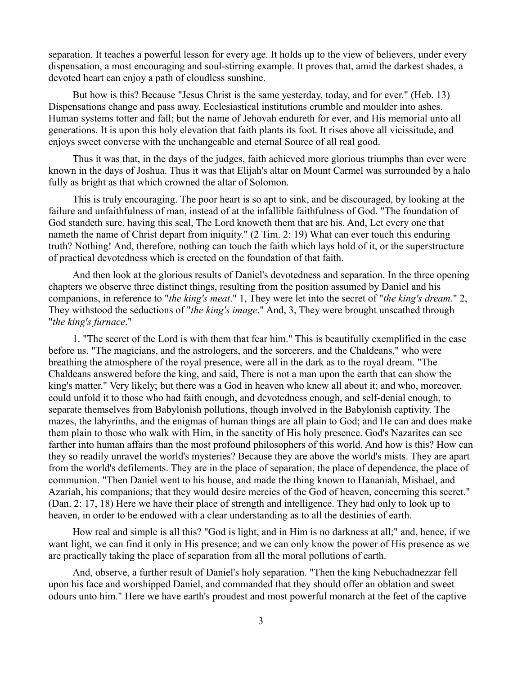separation. It teaches a powerful lesson for every age. It holds up to the view of believers, under every dispensation, a most encouraging and soul-stirring example. It proves that, amid the darkest shades, a devoted heart can enjoy a path of cloudless sunshine.

But how is this? Because "Jesus Christ is the same yesterday, today, and for ever." (Heb. 13) Dispensations change and pass away. Ecclesiastical institutions crumble and moulder into ashes. Human systems totter and fall; but the name of Jehovah endureth for ever, and His memorial unto all generations. It is upon this holy elevation that faith plants its foot. It rises above all vicissitude, and enjoys sweet converse with the unchangeable and eternal Source of all real good.

Thus it was that, in the days of the judges, faith achieved more glorious triumphs than ever were known in the days of Joshua. Thus it was that Elijah's altar on Mount Carmel was surrounded by a halo fully as bright as that which crowned the altar of Solomon.

This is truly encouraging. The poor heart is so apt to sink, and be discouraged, by looking at the failure and unfaithfulness of man, instead of at the infallible faithfulness of God. "The foundation of God standeth sure, having this seal, The Lord knoweth them that are his. And, Let every one that nameth the name of Christ depart from iniquity." (2 Tim. 2: 19) What can ever touch this enduring truth? Nothing! And, therefore, nothing can touch the faith which lays hold of it, or the superstructure of practical devotedness which is erected on the foundation of that faith.

And then look at the glorious results of Daniel's devotedness and separation. In the three opening chapters we observe three distinct things, resulting from the position assumed by Daniel and his companions, in reference to "*the king's meat*." 1, They were let into the secret of "*the king's dream*." 2, They withstood the seductions of "*the king's image*." And, 3, They were brought unscathed through "*the king's furnace*."

1. "The secret of the Lord is with them that fear him." This is beautifully exemplified in the case before us. "The magicians, and the astrologers, and the sorcerers, and the Chaldeans," who were breathing the atmosphere of the royal presence, were all in the dark as to the royal dream. "The Chaldeans answered before the king, and said, There is not a man upon the earth that can show the king's matter." Very likely; but there was a God in heaven who knew all about it; and who, moreover, could unfold it to those who had faith enough, and devotedness enough, and self-denial enough, to separate themselves from Babylonish pollutions, though involved in the Babylonish captivity. The mazes, the labyrinths, and the enigmas of human things are all plain to God; and He can and does make them plain to those who walk with Him, in the sanctity of His holy presence. God's Nazarites can see farther into human affairs than the most profound philosophers of this world. And how is this? How can they so readily unravel the world's mysteries? Because they are above the world's mists. They are apart from the world's defilements. They are in the place of separation, the place of dependence, the place of communion. "Then Daniel went to his house, and made the thing known to Hananiah, Mishael, and Azariah, his companions; that they would desire mercies of the God of heaven, concerning this secret." (Dan. 2: 17, 18) Here we have their place of strength and intelligence. They had only to look up to heaven, in order to be endowed with a clear understanding as to all the destinies of earth.

How real and simple is all this? "God is light, and in Him is no darkness at all;" and, hence, if we want light, we can find it only in His presence; and we can only know the power of His presence as we are practically taking the place of separation from all the moral pollutions of earth.

And, observe, a further result of Daniel's holy separation. "Then the king Nebuchadnezzar fell upon his face and worshipped Daniel, and commanded that they should offer an oblation and sweet odours unto him." Here we have earth's proudest and most powerful monarch at the feet of the captive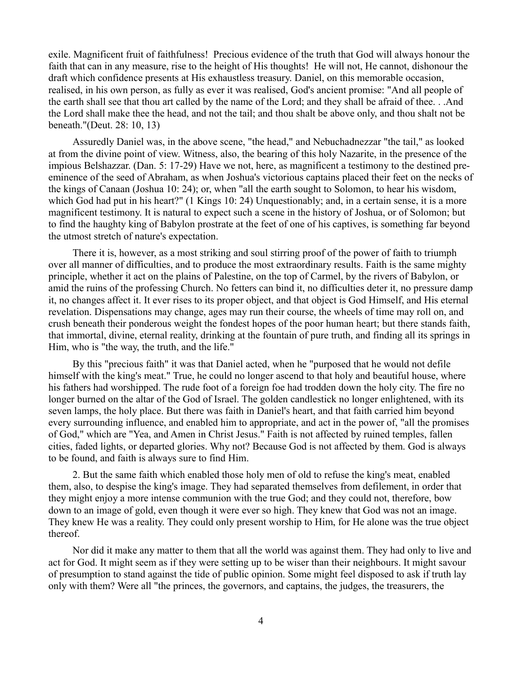exile. Magnificent fruit of faithfulness! Precious evidence of the truth that God will always honour the faith that can in any measure, rise to the height of His thoughts! He will not, He cannot, dishonour the draft which confidence presents at His exhaustless treasury. Daniel, on this memorable occasion, realised, in his own person, as fully as ever it was realised, God's ancient promise: "And all people of the earth shall see that thou art called by the name of the Lord; and they shall be afraid of thee. . .And the Lord shall make thee the head, and not the tail; and thou shalt be above only, and thou shalt not be beneath."(Deut. 28: 10, 13)

Assuredly Daniel was, in the above scene, "the head," and Nebuchadnezzar "the tail," as looked at from the divine point of view. Witness, also, the bearing of this holy Nazarite, in the presence of the impious Belshazzar. (Dan. 5: 17-29) Have we not, here, as magnificent a testimony to the destined preeminence of the seed of Abraham, as when Joshua's victorious captains placed their feet on the necks of the kings of Canaan (Joshua 10: 24); or, when "all the earth sought to Solomon, to hear his wisdom, which God had put in his heart?" (1 Kings 10: 24) Unquestionably; and, in a certain sense, it is a more magnificent testimony. It is natural to expect such a scene in the history of Joshua, or of Solomon; but to find the haughty king of Babylon prostrate at the feet of one of his captives, is something far beyond the utmost stretch of nature's expectation.

There it is, however, as a most striking and soul stirring proof of the power of faith to triumph over all manner of difficulties, and to produce the most extraordinary results. Faith is the same mighty principle, whether it act on the plains of Palestine, on the top of Carmel, by the rivers of Babylon, or amid the ruins of the professing Church. No fetters can bind it, no difficulties deter it, no pressure damp it, no changes affect it. It ever rises to its proper object, and that object is God Himself, and His eternal revelation. Dispensations may change, ages may run their course, the wheels of time may roll on, and crush beneath their ponderous weight the fondest hopes of the poor human heart; but there stands faith, that immortal, divine, eternal reality, drinking at the fountain of pure truth, and finding all its springs in Him, who is "the way, the truth, and the life."

By this "precious faith" it was that Daniel acted, when he "purposed that he would not defile himself with the king's meat." True, he could no longer ascend to that holy and beautiful house, where his fathers had worshipped. The rude foot of a foreign foe had trodden down the holy city. The fire no longer burned on the altar of the God of Israel. The golden candlestick no longer enlightened, with its seven lamps, the holy place. But there was faith in Daniel's heart, and that faith carried him beyond every surrounding influence, and enabled him to appropriate, and act in the power of, "all the promises of God," which are "Yea, and Amen in Christ Jesus." Faith is not affected by ruined temples, fallen cities, faded lights, or departed glories. Why not? Because God is not affected by them. God is always to be found, and faith is always sure to find Him.

2. But the same faith which enabled those holy men of old to refuse the king's meat, enabled them, also, to despise the king's image. They had separated themselves from defilement, in order that they might enjoy a more intense communion with the true God; and they could not, therefore, bow down to an image of gold, even though it were ever so high. They knew that God was not an image. They knew He was a reality. They could only present worship to Him, for He alone was the true object thereof.

Nor did it make any matter to them that all the world was against them. They had only to live and act for God. It might seem as if they were setting up to be wiser than their neighbours. It might savour of presumption to stand against the tide of public opinion. Some might feel disposed to ask if truth lay only with them? Were all "the princes, the governors, and captains, the judges, the treasurers, the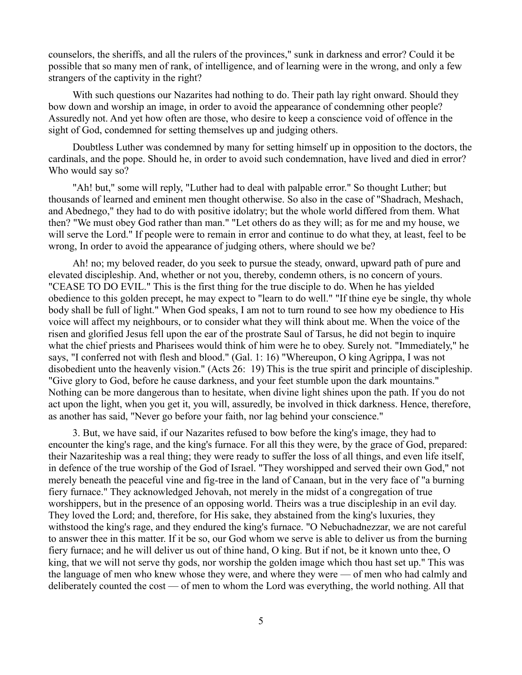counselors, the sheriffs, and all the rulers of the provinces," sunk in darkness and error? Could it be possible that so many men of rank, of intelligence, and of learning were in the wrong, and only a few strangers of the captivity in the right?

With such questions our Nazarites had nothing to do. Their path lay right onward. Should they bow down and worship an image, in order to avoid the appearance of condemning other people? Assuredly not. And yet how often are those, who desire to keep a conscience void of offence in the sight of God, condemned for setting themselves up and judging others.

Doubtless Luther was condemned by many for setting himself up in opposition to the doctors, the cardinals, and the pope. Should he, in order to avoid such condemnation, have lived and died in error? Who would say so?

"Ah! but," some will reply, "Luther had to deal with palpable error." So thought Luther; but thousands of learned and eminent men thought otherwise. So also in the case of "Shadrach, Meshach, and Abednego," they had to do with positive idolatry; but the whole world differed from them. What then? "We must obey God rather than man." "Let others do as they will; as for me and my house, we will serve the Lord." If people were to remain in error and continue to do what they, at least, feel to be wrong, In order to avoid the appearance of judging others, where should we be?

Ah! no; my beloved reader, do you seek to pursue the steady, onward, upward path of pure and elevated discipleship. And, whether or not you, thereby, condemn others, is no concern of yours. "CEASE TO DO EVIL." This is the first thing for the true disciple to do. When he has yielded obedience to this golden precept, he may expect to "learn to do well." "If thine eye be single, thy whole body shall be full of light." When God speaks, I am not to turn round to see how my obedience to His voice will affect my neighbours, or to consider what they will think about me. When the voice of the risen and glorified Jesus fell upon the ear of the prostrate Saul of Tarsus, he did not begin to inquire what the chief priests and Pharisees would think of him were he to obey. Surely not. "Immediately," he says, "I conferred not with flesh and blood." (Gal. 1: 16) "Whereupon, O king Agrippa, I was not disobedient unto the heavenly vision." (Acts 26: 19) This is the true spirit and principle of discipleship. "Give glory to God, before he cause darkness, and your feet stumble upon the dark mountains." Nothing can be more dangerous than to hesitate, when divine light shines upon the path. If you do not act upon the light, when you get it, you will, assuredly, be involved in thick darkness. Hence, therefore, as another has said, "Never go before your faith, nor lag behind your conscience."

3. But, we have said, if our Nazarites refused to bow before the king's image, they had to encounter the king's rage, and the king's furnace. For all this they were, by the grace of God, prepared: their Nazariteship was a real thing; they were ready to suffer the loss of all things, and even life itself, in defence of the true worship of the God of Israel. "They worshipped and served their own God," not merely beneath the peaceful vine and fig-tree in the land of Canaan, but in the very face of "a burning fiery furnace." They acknowledged Jehovah, not merely in the midst of a congregation of true worshippers, but in the presence of an opposing world. Theirs was a true discipleship in an evil day. They loved the Lord; and, therefore, for His sake, they abstained from the king's luxuries, they withstood the king's rage, and they endured the king's furnace. "O Nebuchadnezzar, we are not careful to answer thee in this matter. If it be so, our God whom we serve is able to deliver us from the burning fiery furnace; and he will deliver us out of thine hand, O king. But if not, be it known unto thee, O king, that we will not serve thy gods, nor worship the golden image which thou hast set up." This was the language of men who knew whose they were, and where they were — of men who had calmly and deliberately counted the cost — of men to whom the Lord was everything, the world nothing. All that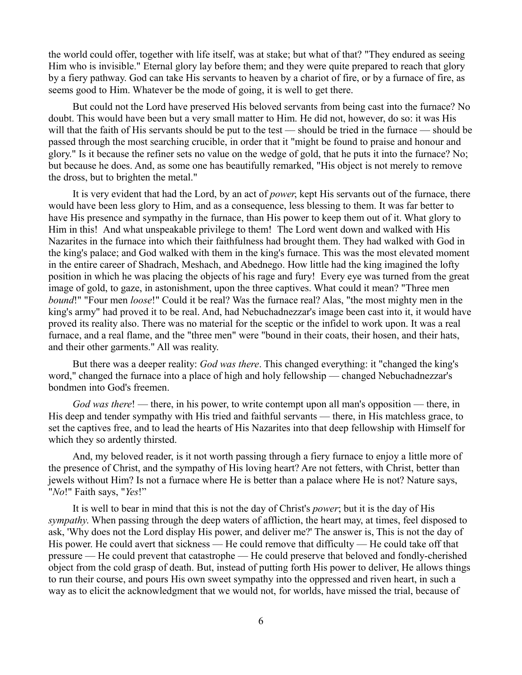the world could offer, together with life itself, was at stake; but what of that? "They endured as seeing Him who is invisible." Eternal glory lay before them; and they were quite prepared to reach that glory by a fiery pathway. God can take His servants to heaven by a chariot of fire, or by a furnace of fire, as seems good to Him. Whatever be the mode of going, it is well to get there.

But could not the Lord have preserved His beloved servants from being cast into the furnace? No doubt. This would have been but a very small matter to Him. He did not, however, do so: it was His will that the faith of His servants should be put to the test — should be tried in the furnace — should be passed through the most searching crucible, in order that it "might be found to praise and honour and glory." Is it because the refiner sets no value on the wedge of gold, that he puts it into the furnace? No; but because he does. And, as some one has beautifully remarked, "His object is not merely to remove the dross, but to brighten the metal."

It is very evident that had the Lord, by an act of *power*, kept His servants out of the furnace, there would have been less glory to Him, and as a consequence, less blessing to them. It was far better to have His presence and sympathy in the furnace, than His power to keep them out of it. What glory to Him in this! And what unspeakable privilege to them! The Lord went down and walked with His Nazarites in the furnace into which their faithfulness had brought them. They had walked with God in the king's palace; and God walked with them in the king's furnace. This was the most elevated moment in the entire career of Shadrach, Meshach, and Abednego. How little had the king imagined the lofty position in which he was placing the objects of his rage and fury! Every eye was turned from the great image of gold, to gaze, in astonishment, upon the three captives. What could it mean? "Three men *bound*!" "Four men *loose*!" Could it be real? Was the furnace real? Alas, "the most mighty men in the king's army" had proved it to be real. And, had Nebuchadnezzar's image been cast into it, it would have proved its reality also. There was no material for the sceptic or the infidel to work upon. It was a real furnace, and a real flame, and the "three men" were "bound in their coats, their hosen, and their hats, and their other garments." All was reality.

But there was a deeper reality: *God was there*. This changed everything: it "changed the king's word," changed the furnace into a place of high and holy fellowship — changed Nebuchadnezzar's bondmen into God's freemen.

*God was there*! — there, in his power, to write contempt upon all man's opposition — there, in His deep and tender sympathy with His tried and faithful servants — there, in His matchless grace, to set the captives free, and to lead the hearts of His Nazarites into that deep fellowship with Himself for which they so ardently thirsted.

And, my beloved reader, is it not worth passing through a fiery furnace to enjoy a little more of the presence of Christ, and the sympathy of His loving heart? Are not fetters, with Christ, better than jewels without Him? Is not a furnace where He is better than a palace where He is not? Nature says, "*No*!" Faith says, "*Yes*!"

It is well to bear in mind that this is not the day of Christ's *power*; but it is the day of His *sympathy*. When passing through the deep waters of affliction, the heart may, at times, feel disposed to ask, 'Why does not the Lord display His power, and deliver me?' The answer is, This is not the day of His power. He could avert that sickness — He could remove that difficulty — He could take off that pressure — He could prevent that catastrophe — He could preserve that beloved and fondly-cherished object from the cold grasp of death. But, instead of putting forth His power to deliver, He allows things to run their course, and pours His own sweet sympathy into the oppressed and riven heart, in such a way as to elicit the acknowledgment that we would not, for worlds, have missed the trial, because of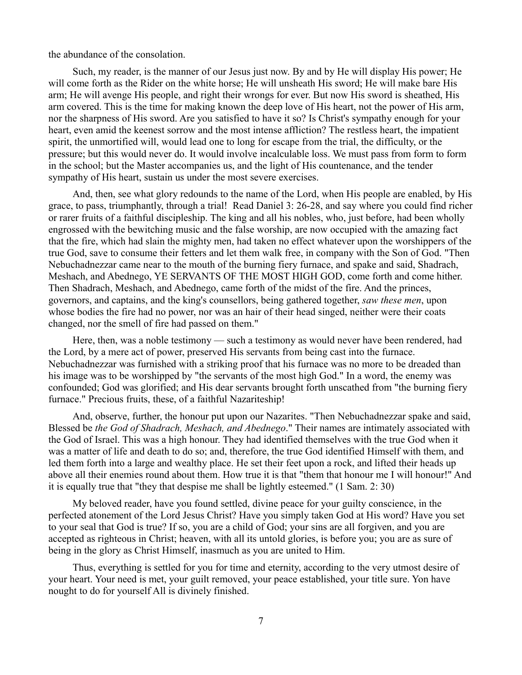the abundance of the consolation.

Such, my reader, is the manner of our Jesus just now. By and by He will display His power; He will come forth as the Rider on the white horse; He will unsheath His sword; He will make bare His arm; He will avenge His people, and right their wrongs for ever. But now His sword is sheathed, His arm covered. This is the time for making known the deep love of His heart, not the power of His arm, nor the sharpness of His sword. Are you satisfied to have it so? Is Christ's sympathy enough for your heart, even amid the keenest sorrow and the most intense affliction? The restless heart, the impatient spirit, the unmortified will, would lead one to long for escape from the trial, the difficulty, or the pressure; but this would never do. It would involve incalculable loss. We must pass from form to form in the school; but the Master accompanies us, and the light of His countenance, and the tender sympathy of His heart, sustain us under the most severe exercises.

And, then, see what glory redounds to the name of the Lord, when His people are enabled, by His grace, to pass, triumphantly, through a trial! Read Daniel 3: 26-28, and say where you could find richer or rarer fruits of a faithful discipleship. The king and all his nobles, who, just before, had been wholly engrossed with the bewitching music and the false worship, are now occupied with the amazing fact that the fire, which had slain the mighty men, had taken no effect whatever upon the worshippers of the true God, save to consume their fetters and let them walk free, in company with the Son of God. "Then Nebuchadnezzar came near to the mouth of the burning fiery furnace, and spake and said, Shadrach, Meshach, and Abednego, YE SERVANTS OF THE MOST HIGH GOD, come forth and come hither. Then Shadrach, Meshach, and Abednego, came forth of the midst of the fire. And the princes, governors, and captains, and the king's counsellors, being gathered together, *saw these men*, upon whose bodies the fire had no power, nor was an hair of their head singed, neither were their coats changed, nor the smell of fire had passed on them."

Here, then, was a noble testimony — such a testimony as would never have been rendered, had the Lord, by a mere act of power, preserved His servants from being cast into the furnace. Nebuchadnezzar was furnished with a striking proof that his furnace was no more to be dreaded than his image was to be worshipped by "the servants of the most high God." In a word, the enemy was confounded; God was glorified; and His dear servants brought forth unscathed from "the burning fiery furnace." Precious fruits, these, of a faithful Nazariteship!

And, observe, further, the honour put upon our Nazarites. "Then Nebuchadnezzar spake and said, Blessed be *the God of Shadrach, Meshach, and Abednego*." Their names are intimately associated with the God of Israel. This was a high honour. They had identified themselves with the true God when it was a matter of life and death to do so; and, therefore, the true God identified Himself with them, and led them forth into a large and wealthy place. He set their feet upon a rock, and lifted their heads up above all their enemies round about them. How true it is that "them that honour me I will honour!" And it is equally true that "they that despise me shall be lightly esteemed." (1 Sam. 2: 30)

My beloved reader, have you found settled, divine peace for your guilty conscience, in the perfected atonement of the Lord Jesus Christ? Have you simply taken God at His word? Have you set to your seal that God is true? If so, you are a child of God; your sins are all forgiven, and you are accepted as righteous in Christ; heaven, with all its untold glories, is before you; you are as sure of being in the glory as Christ Himself, inasmuch as you are united to Him.

Thus, everything is settled for you for time and eternity, according to the very utmost desire of your heart. Your need is met, your guilt removed, your peace established, your title sure. Yon have nought to do for yourself All is divinely finished.